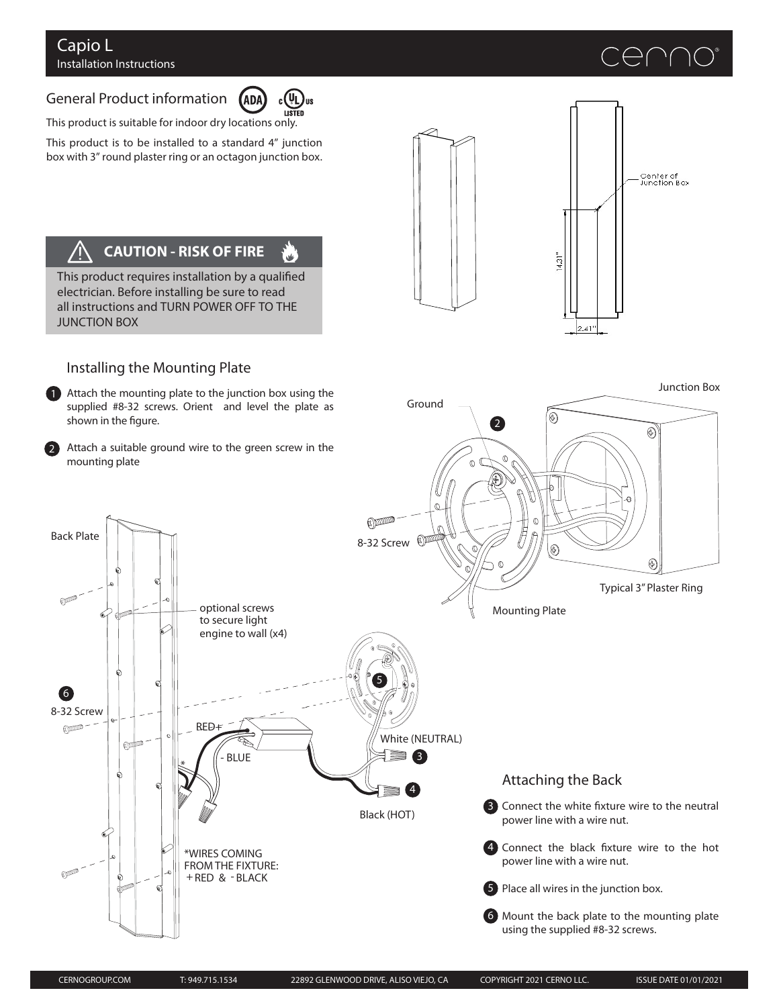# General Product information



 $\mathbf{u}'$ 

This product is suitable for indoor dry locations only.

This product is to be installed to a standard 4" junction box with 3" round plaster ring or an octagon junction box.

#### **CAUTION - RISK OF FIRE**  $\sqrt{2}$

This product requires installation by a qualified electrician. Before installing be sure to read all instructions and TURN POWER OFF TO THE JUNCTION BOX





## Installing the Mounting Plate

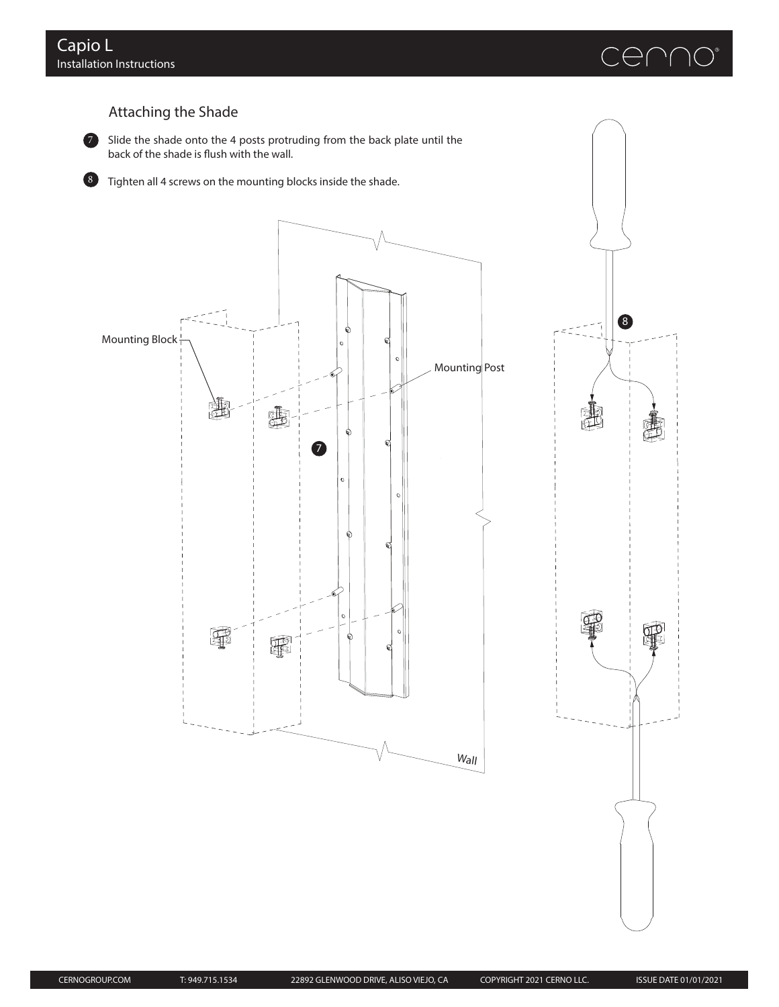

8

ID

ำ

# Attaching the Shade



7 Slide the shade onto the 4 posts protruding from the back plate until the back of the shade is flush with the wall.



8 Tighten all 4 screws on the mounting blocks inside the shade.